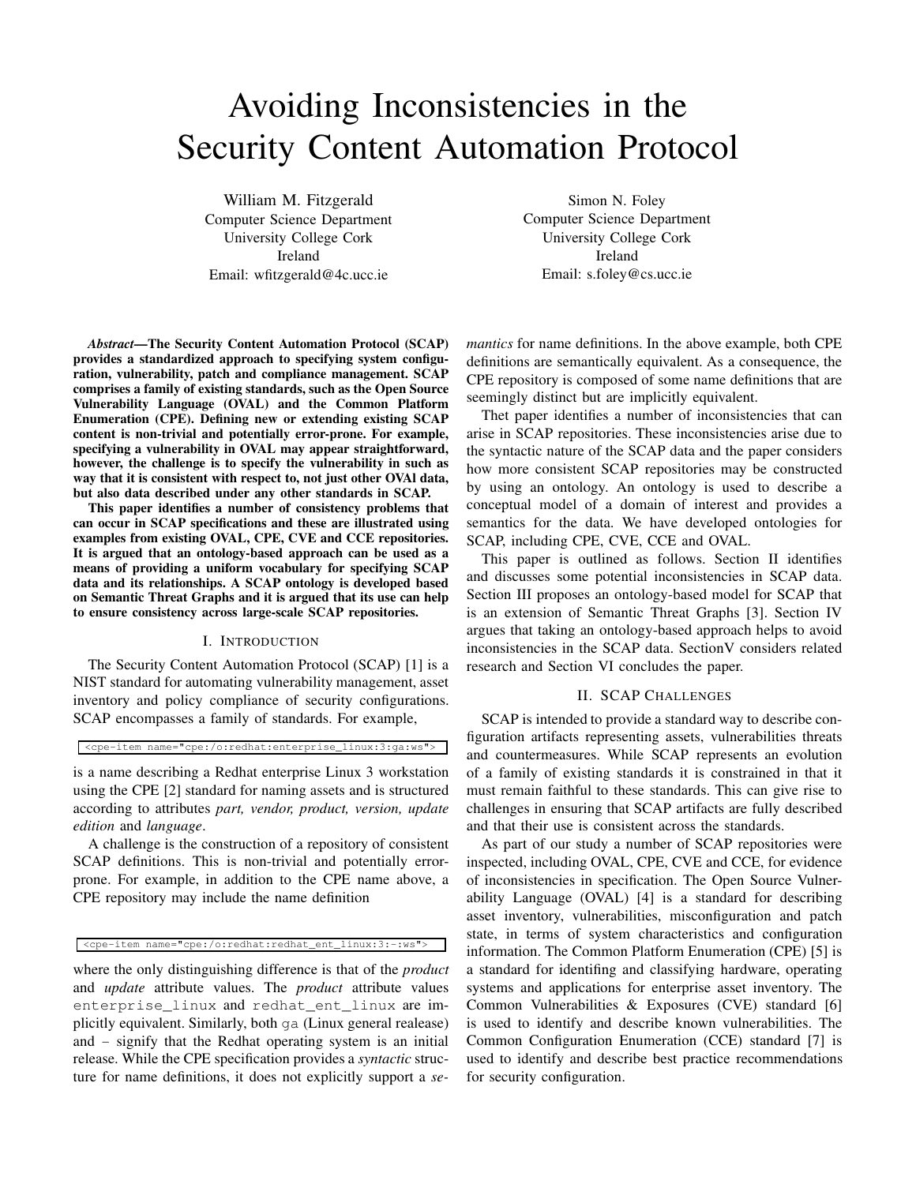# Avoiding Inconsistencies in the Security Content Automation Protocol

William M. Fitzgerald Computer Science Department University College Cork Ireland Email: wfitzgerald@4c.ucc.ie

Simon N. Foley Computer Science Department University College Cork Ireland Email: s.foley@cs.ucc.ie

*Abstract***—The Security Content Automation Protocol (SCAP) provides a standardized approach to specifying system configuration, vulnerability, patch and compliance management. SCAP comprises a family of existing standards, such as the Open Source Vulnerability Language (OVAL) and the Common Platform Enumeration (CPE). Defining new or extending existing SCAP content is non-trivial and potentially error-prone. For example, specifying a vulnerability in OVAL may appear straightforward, however, the challenge is to specify the vulnerability in such as way that it is consistent with respect to, not just other OVAl data, but also data described under any other standards in SCAP.**

**This paper identifies a number of consistency problems that can occur in SCAP specifications and these are illustrated using examples from existing OVAL, CPE, CVE and CCE repositories. It is argued that an ontology-based approach can be used as a means of providing a uniform vocabulary for specifying SCAP data and its relationships. A SCAP ontology is developed based on Semantic Threat Graphs and it is argued that its use can help to ensure consistency across large-scale SCAP repositories.**

#### I. INTRODUCTION

The Security Content Automation Protocol (SCAP) [1] is a NIST standard for automating vulnerability management, asset inventory and policy compliance of security configurations. SCAP encompasses a family of standards. For example,

<cpe-item name="cpe:/o:redhat:enterprise\_linux:3:ga:ws">

is a name describing a Redhat enterprise Linux 3 workstation using the CPE [2] standard for naming assets and is structured according to attributes *part, vendor, product, version, update edition* and *language*.

A challenge is the construction of a repository of consistent SCAP definitions. This is non-trivial and potentially errorprone. For example, in addition to the CPE name above, a CPE repository may include the name definition

<cpe-item name="cpe:/o:redhat:redhat\_ent\_linux:3:-:ws">

where the only distinguishing difference is that of the *product* and *update* attribute values. The *product* attribute values enterprise linux and redhat ent linux are implicitly equivalent. Similarly, both ga (Linux general realease) and - signify that the Redhat operating system is an initial release. While the CPE specification provides a *syntactic* structure for name definitions, it does not explicitly support a *se-* *mantics* for name definitions. In the above example, both CPE definitions are semantically equivalent. As a consequence, the CPE repository is composed of some name definitions that are seemingly distinct but are implicitly equivalent.

Thet paper identifies a number of inconsistencies that can arise in SCAP repositories. These inconsistencies arise due to the syntactic nature of the SCAP data and the paper considers how more consistent SCAP repositories may be constructed by using an ontology. An ontology is used to describe a conceptual model of a domain of interest and provides a semantics for the data. We have developed ontologies for SCAP, including CPE, CVE, CCE and OVAL.

This paper is outlined as follows. Section II identifies and discusses some potential inconsistencies in SCAP data. Section III proposes an ontology-based model for SCAP that is an extension of Semantic Threat Graphs [3]. Section IV argues that taking an ontology-based approach helps to avoid inconsistencies in the SCAP data. SectionV considers related research and Section VI concludes the paper.

## II. SCAP CHALLENGES

SCAP is intended to provide a standard way to describe configuration artifacts representing assets, vulnerabilities threats and countermeasures. While SCAP represents an evolution of a family of existing standards it is constrained in that it must remain faithful to these standards. This can give rise to challenges in ensuring that SCAP artifacts are fully described and that their use is consistent across the standards.

As part of our study a number of SCAP repositories were inspected, including OVAL, CPE, CVE and CCE, for evidence of inconsistencies in specification. The Open Source Vulnerability Language (OVAL) [4] is a standard for describing asset inventory, vulnerabilities, misconfiguration and patch state, in terms of system characteristics and configuration information. The Common Platform Enumeration (CPE) [5] is a standard for identifing and classifying hardware, operating systems and applications for enterprise asset inventory. The Common Vulnerabilities & Exposures (CVE) standard [6] is used to identify and describe known vulnerabilities. The Common Configuration Enumeration (CCE) standard [7] is used to identify and describe best practice recommendations for security configuration.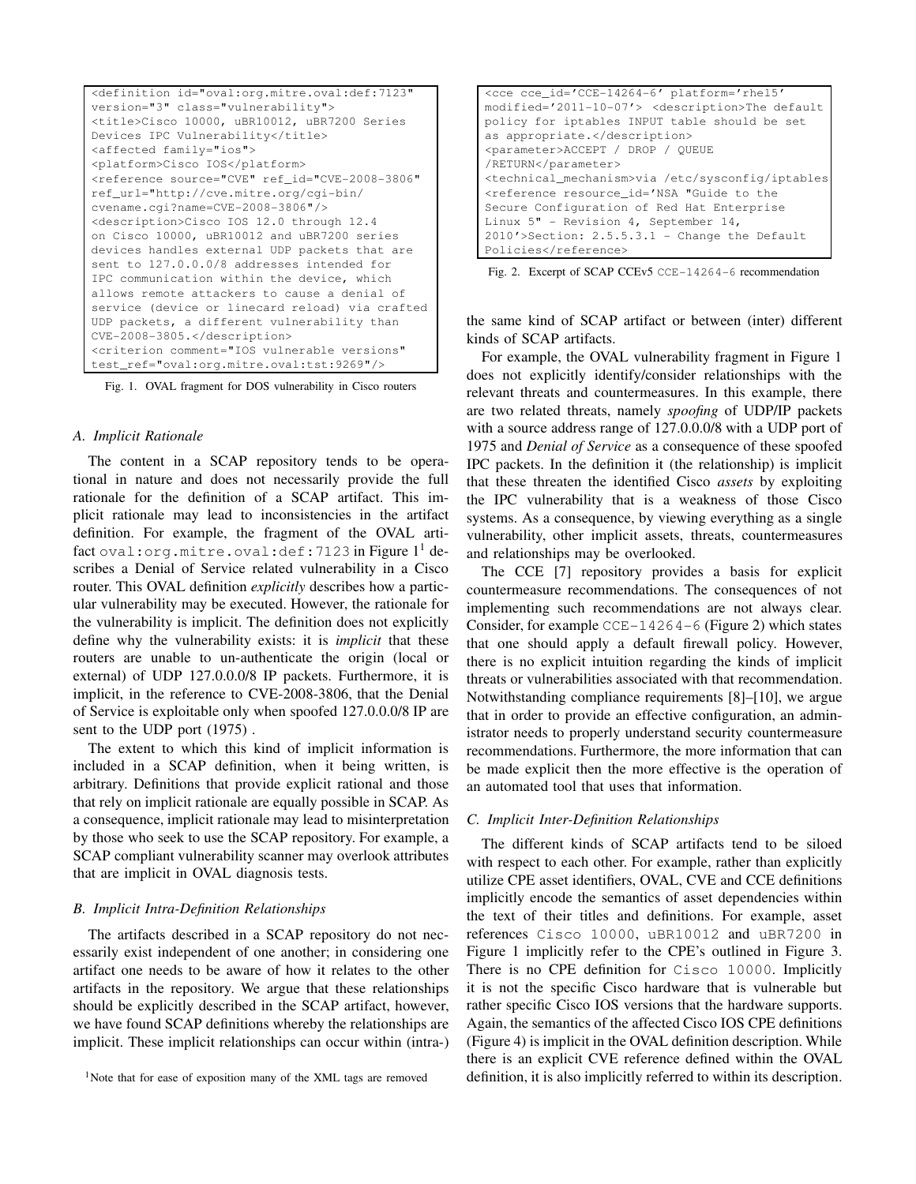| <definition <="" id="oval:org.mitre.oval:def:7123" td=""></definition> |
|------------------------------------------------------------------------|
| version="3" class="vulnerability">                                     |
| <title>Cisco 10000, uBR10012, uBR7200 Series</title>                   |
| Devices IPC Vulnerability                                              |
| <affected family="ios"></affected>                                     |
| <platform>Cisco IOS</platform>                                         |
| <reference <="" ref_id="CVE-2008-3806" source="CVE" td=""></reference> |
| ref_url="http://cve.mitre.org/cqi-bin/                                 |
| $cvename.cqi?name=CVE-2008-3806"$                                      |
| <description>Cisco IOS 12.0 through 12.4</description>                 |
| on Cisco 10000, uBR10012 and uBR7200 series                            |
| devices handles external UDP packets that are                          |
| sent to 127.0.0.0/8 addresses intended for                             |
| IPC communication within the device, which                             |
| allows remote attackers to cause a denial of                           |
| service (device or linecard reload) via crafted                        |
| UDP packets, a different vulnerability than                            |
| CVE-2008-3805.                                                         |
| <criterion <="" comment="IOS vulnerable versions" td=""></criterion>   |
| test_ref="oval:org.mitre.oval:tst:9269"/>                              |

Fig. 1. OVAL fragment for DOS vulnerability in Cisco routers

## *A. Implicit Rationale*

The content in a SCAP repository tends to be operational in nature and does not necessarily provide the full rationale for the definition of a SCAP artifact. This implicit rationale may lead to inconsistencies in the artifact definition. For example, the fragment of the OVAL artifact oval: org.mitre.oval:  $\det$ :7123 in Figure  $1^1$  describes a Denial of Service related vulnerability in a Cisco router. This OVAL definition *explicitly* describes how a particular vulnerability may be executed. However, the rationale for the vulnerability is implicit. The definition does not explicitly define why the vulnerability exists: it is *implicit* that these routers are unable to un-authenticate the origin (local or external) of UDP 127.0.0.0/8 IP packets. Furthermore, it is implicit, in the reference to CVE-2008-3806, that the Denial of Service is exploitable only when spoofed 127.0.0.0/8 IP are sent to the UDP port (1975) .

The extent to which this kind of implicit information is included in a SCAP definition, when it being written, is arbitrary. Definitions that provide explicit rational and those that rely on implicit rationale are equally possible in SCAP. As a consequence, implicit rationale may lead to misinterpretation by those who seek to use the SCAP repository. For example, a SCAP compliant vulnerability scanner may overlook attributes that are implicit in OVAL diagnosis tests.

#### *B. Implicit Intra-Definition Relationships*

The artifacts described in a SCAP repository do not necessarily exist independent of one another; in considering one artifact one needs to be aware of how it relates to the other artifacts in the repository. We argue that these relationships should be explicitly described in the SCAP artifact, however, we have found SCAP definitions whereby the relationships are implicit. These implicit relationships can occur within (intra-)

| <cce <="" cce="" id="CCE-14264-6" platform="rhel5" th=""></cce>                                                                                                                                                                                                                                                                                |
|------------------------------------------------------------------------------------------------------------------------------------------------------------------------------------------------------------------------------------------------------------------------------------------------------------------------------------------------|
| modified='2011-10-07'> <description>The default</description>                                                                                                                                                                                                                                                                                  |
| policy for iptables INPUT table should be set                                                                                                                                                                                                                                                                                                  |
| as appropriate.                                                                                                                                                                                                                                                                                                                                |
| <parameter>ACCEPT / DROP / OUEUE</parameter>                                                                                                                                                                                                                                                                                                   |
| /RETURN                                                                                                                                                                                                                                                                                                                                        |
| <technical_mechanism>via /etc/sysconfiq/iptables</technical_mechanism>                                                                                                                                                                                                                                                                         |
| <reference <="" id='NSA "Guide to the&lt;/td&gt;&lt;/tr&gt;&lt;tr&gt;&lt;td&gt;Secure Configuration of Red Hat Enterprise&lt;/td&gt;&lt;/tr&gt;&lt;tr&gt;&lt;td&gt;Linux 5" - Revision 4, September 14,&lt;/td&gt;&lt;/tr&gt;&lt;tr&gt;&lt;td&gt;&lt;math&gt;2010' math="" resource="">&gt;Section: 2.5.5.3.1 - Change the Default</reference> |
| Policies                                                                                                                                                                                                                                                                                                                                       |

Fig. 2. Excerpt of SCAP CCEv5 CCE-14264-6 recommendation

the same kind of SCAP artifact or between (inter) different kinds of SCAP artifacts.

For example, the OVAL vulnerability fragment in Figure 1 does not explicitly identify/consider relationships with the relevant threats and countermeasures. In this example, there are two related threats, namely *spoofing* of UDP/IP packets with a source address range of 127.0.0.0/8 with a UDP port of 1975 and *Denial of Service* as a consequence of these spoofed IPC packets. In the definition it (the relationship) is implicit that these threaten the identified Cisco *assets* by exploiting the IPC vulnerability that is a weakness of those Cisco systems. As a consequence, by viewing everything as a single vulnerability, other implicit assets, threats, countermeasures and relationships may be overlooked.

The CCE [7] repository provides a basis for explicit countermeasure recommendations. The consequences of not implementing such recommendations are not always clear. Consider, for example  $CCE-14264-6$  (Figure 2) which states that one should apply a default firewall policy. However, there is no explicit intuition regarding the kinds of implicit threats or vulnerabilities associated with that recommendation. Notwithstanding compliance requirements [8]–[10], we argue that in order to provide an effective configuration, an administrator needs to properly understand security countermeasure recommendations. Furthermore, the more information that can be made explicit then the more effective is the operation of an automated tool that uses that information.

#### *C. Implicit Inter-Definition Relationships*

The different kinds of SCAP artifacts tend to be siloed with respect to each other. For example, rather than explicitly utilize CPE asset identifiers, OVAL, CVE and CCE definitions implicitly encode the semantics of asset dependencies within the text of their titles and definitions. For example, asset references Cisco 10000, uBR10012 and uBR7200 in Figure 1 implicitly refer to the CPE's outlined in Figure 3. There is no CPE definition for Cisco 10000. Implicitly it is not the specific Cisco hardware that is vulnerable but rather specific Cisco IOS versions that the hardware supports. Again, the semantics of the affected Cisco IOS CPE definitions (Figure 4) is implicit in the OVAL definition description. While there is an explicit CVE reference defined within the OVAL definition, it is also implicitly referred to within its description.

<sup>&</sup>lt;sup>1</sup>Note that for ease of exposition many of the XML tags are removed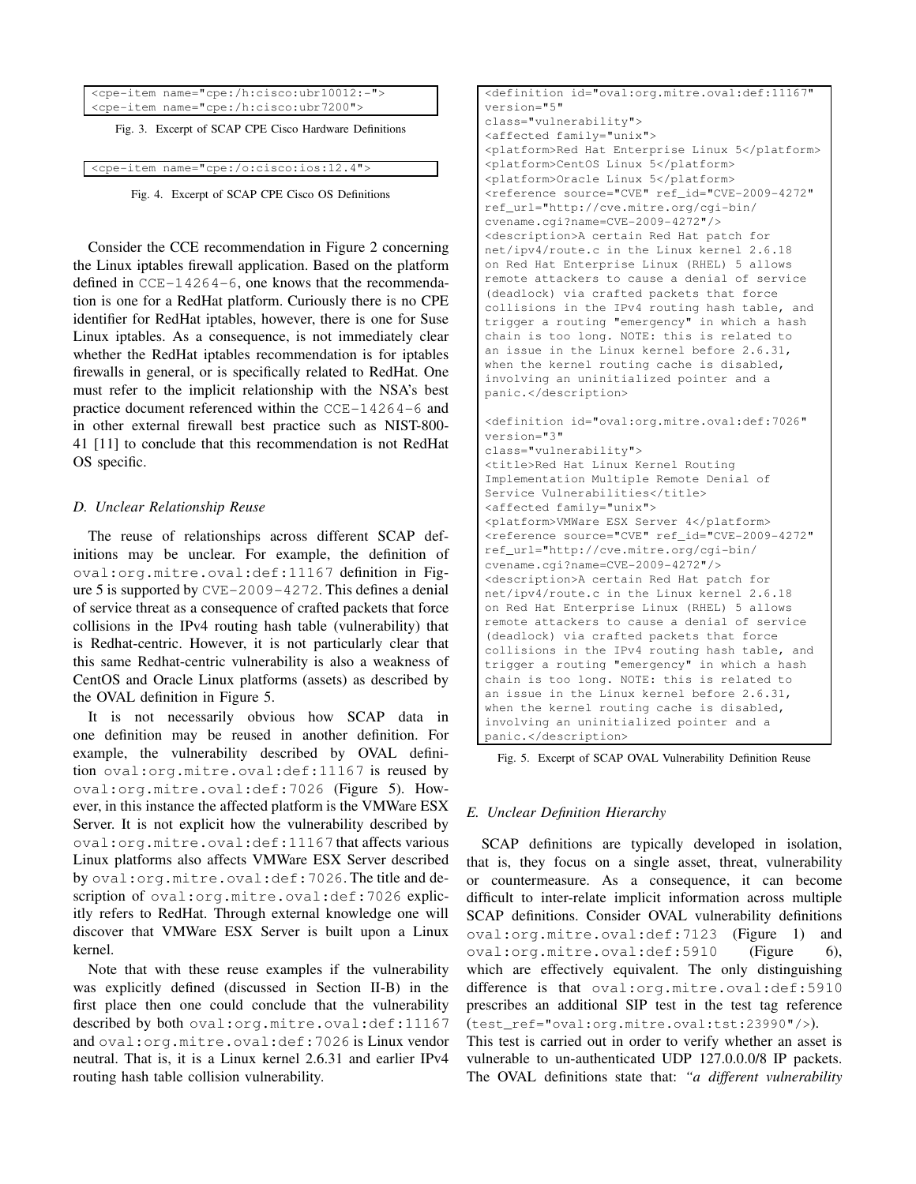| <cpe-item name="cpe:/h:cisco:ubr10012:-"></cpe-item>   |               |  |  |  |
|--------------------------------------------------------|---------------|--|--|--|
| <cpe-item name="cpe:/h:cisco:ubr7200"></cpe-item>      | $\mathcal{L}$ |  |  |  |
| Fig. 3. Excerpt of SCAP CPE Cisco Hardware Definitions | $\subset$     |  |  |  |
| <cpe-item name="cpe:/o:cisco:ios:12.4"></cpe-item>     |               |  |  |  |

Fig. 4. Excerpt of SCAP CPE Cisco OS Definitions

Consider the CCE recommendation in Figure 2 concerning the Linux iptables firewall application. Based on the platform defined in CCE-14264-6, one knows that the recommendation is one for a RedHat platform. Curiously there is no CPE identifier for RedHat iptables, however, there is one for Suse Linux iptables. As a consequence, is not immediately clear whether the RedHat iptables recommendation is for iptables firewalls in general, or is specifically related to RedHat. One must refer to the implicit relationship with the NSA's best practice document referenced within the CCE-14264-6 and in other external firewall best practice such as NIST-800- 41 [11] to conclude that this recommendation is not RedHat OS specific.

## *D. Unclear Relationship Reuse*

The reuse of relationships across different SCAP definitions may be unclear. For example, the definition of oval:org.mitre.oval:def:11167 definition in Figure 5 is supported by CVE-2009-4272. This defines a denial of service threat as a consequence of crafted packets that force collisions in the IPv4 routing hash table (vulnerability) that is Redhat-centric. However, it is not particularly clear that this same Redhat-centric vulnerability is also a weakness of CentOS and Oracle Linux platforms (assets) as described by the OVAL definition in Figure 5.

It is not necessarily obvious how SCAP data in one definition may be reused in another definition. For example, the vulnerability described by OVAL definition oval:org.mitre.oval:def:11167 is reused by oval:org.mitre.oval:def:7026 (Figure 5). However, in this instance the affected platform is the VMWare ESX Server. It is not explicit how the vulnerability described by oval:org.mitre.oval:def:11167 that affects various Linux platforms also affects VMWare ESX Server described by oval:org.mitre.oval:def:7026. The title and description of oval:org.mitre.oval:def:7026 explicitly refers to RedHat. Through external knowledge one will discover that VMWare ESX Server is built upon a Linux kernel.

Note that with these reuse examples if the vulnerability was explicitly defined (discussed in Section II-B) in the first place then one could conclude that the vulnerability described by both oval:org.mitre.oval:def:11167 and oval:org.mitre.oval:def:7026 is Linux vendor neutral. That is, it is a Linux kernel 2.6.31 and earlier IPv4 routing hash table collision vulnerability.

```
<definition id="oval:org.mitre.oval:def:11167"
version="5"
class="vulnerability">
<affected family="unix">
<platform>Red Hat Enterprise Linux 5</platform>
<platform>CentOS Linux 5</platform>
<platform>Oracle Linux 5</platform>
<reference source="CVE" ref_id="CVE-2009-4272"
ref_url="http://cve.mitre.org/cgi-bin/
cvename.cgi?name=CVE-2009-4272"/>
<description>A certain Red Hat patch for
net/ipv4/route.c in the Linux kernel 2.6.18
on Red Hat Enterprise Linux (RHEL) 5 allows
remote attackers to cause a denial of service
(deadlock) via crafted packets that force
collisions in the IPv4 routing hash table, and
trigger a routing "emergency" in which a hash
chain is too long. NOTE: this is related to
an issue in the Linux kernel before 2.6.31,
when the kernel routing cache is disabled,
involving an uninitialized pointer and a
panic.</description>
<definition id="oval:org.mitre.oval:def:7026"
version="3"
class="vulnerability">
<title>Red Hat Linux Kernel Routing
Implementation Multiple Remote Denial of
Service Vulnerabilities</title>
<affected family="unix">
<platform>VMWare ESX Server 4</platform>
<reference source="CVE" ref_id="CVE-2009-4272"
ref_url="http://cve.mitre.org/cgi-bin/
cvename.cgi?name=CVE-2009-4272"/>
<description>A certain Red Hat patch for
net/ipv4/route.c in the Linux kernel 2.6.18
on Red Hat Enterprise Linux (RHEL) 5 allows
remote attackers to cause a denial of service
(deadlock) via crafted packets that force
collisions in the IPv4 routing hash table, and
trigger a routing "emergency" in which a hash
chain is too long. NOTE: this is related to
an issue in the Linux kernel before 2.6.31,
when the kernel routing cache is disabled.
involving an uninitialized pointer and a
panic.</description>
```
Fig. 5. Excerpt of SCAP OVAL Vulnerability Definition Reuse

# *E. Unclear Definition Hierarchy*

SCAP definitions are typically developed in isolation, that is, they focus on a single asset, threat, vulnerability or countermeasure. As a consequence, it can become difficult to inter-relate implicit information across multiple SCAP definitions. Consider OVAL vulnerability definitions oval:org.mitre.oval:def:7123 (Figure 1) and oval:org.mitre.oval:def:5910 (Figure 6), which are effectively equivalent. The only distinguishing difference is that oval:org.mitre.oval:def:5910 prescribes an additional SIP test in the test tag reference (test\_ref="oval:org.mitre.oval:tst:23990"/>).

This test is carried out in order to verify whether an asset is vulnerable to un-authenticated UDP 127.0.0.0/8 IP packets. The OVAL definitions state that: *"a different vulnerability*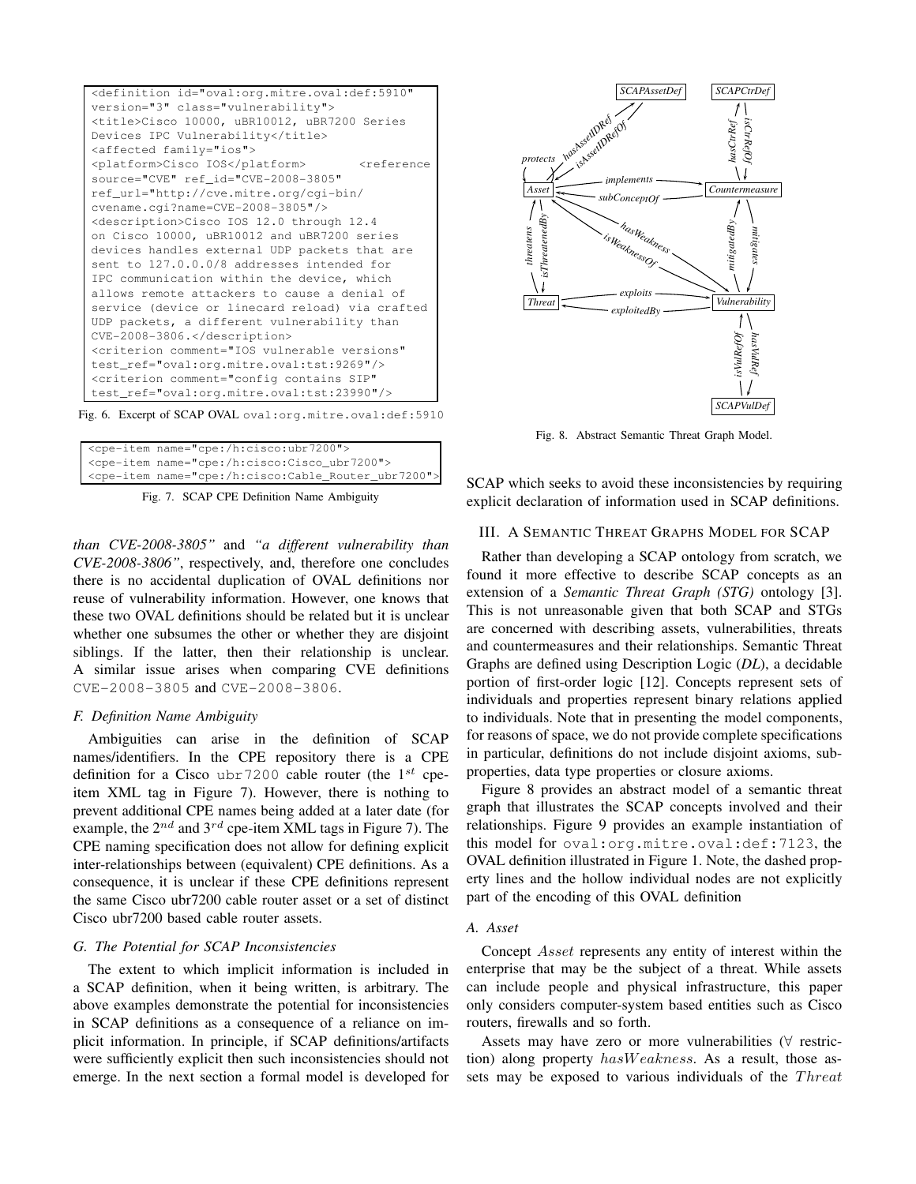



|  | <cpe-item name="cpe:/h:cisco:ubr7200"></cpe-item>              |
|--|----------------------------------------------------------------|
|  | <cpe-item name="cpe:/h:cisco:Cisco ubr7200"></cpe-item>        |
|  | <cpe-item name="cpe:/h:cisco:Cable_Router_ubr7200"></cpe-item> |
|  |                                                                |

Fig. 7. SCAP CPE Definition Name Ambiguity

*than CVE-2008-3805"* and *"a different vulnerability than CVE-2008-3806"*, respectively, and, therefore one concludes there is no accidental duplication of OVAL definitions nor reuse of vulnerability information. However, one knows that these two OVAL definitions should be related but it is unclear whether one subsumes the other or whether they are disjoint siblings. If the latter, then their relationship is unclear. A similar issue arises when comparing CVE definitions CVE-2008-3805 and CVE-2008-3806.

#### *F. Definition Name Ambiguity*

Ambiguities can arise in the definition of SCAP names/identifiers. In the CPE repository there is a CPE definition for a Cisco ubr7200 cable router (the  $1^{st}$  cpeitem XML tag in Figure 7). However, there is nothing to prevent additional CPE names being added at a later date (for example, the  $2^{nd}$  and  $3^{rd}$  cpe-item XML tags in Figure 7). The CPE naming specification does not allow for defining explicit inter-relationships between (equivalent) CPE definitions. As a consequence, it is unclear if these CPE definitions represent the same Cisco ubr7200 cable router asset or a set of distinct Cisco ubr7200 based cable router assets.

#### *G. The Potential for SCAP Inconsistencies*

The extent to which implicit information is included in a SCAP definition, when it being written, is arbitrary. The above examples demonstrate the potential for inconsistencies in SCAP definitions as a consequence of a reliance on implicit information. In principle, if SCAP definitions/artifacts were sufficiently explicit then such inconsistencies should not emerge. In the next section a formal model is developed for



Fig. 8. Abstract Semantic Threat Graph Model.

SCAP which seeks to avoid these inconsistencies by requiring explicit declaration of information used in SCAP definitions.

## III. A SEMANTIC THREAT GRAPHS MODEL FOR SCAP

Rather than developing a SCAP ontology from scratch, we found it more effective to describe SCAP concepts as an extension of a *Semantic Threat Graph (STG)* ontology [3]. This is not unreasonable given that both SCAP and STGs are concerned with describing assets, vulnerabilities, threats and countermeasures and their relationships. Semantic Threat Graphs are defined using Description Logic (*DL*), a decidable portion of first-order logic [12]. Concepts represent sets of individuals and properties represent binary relations applied to individuals. Note that in presenting the model components, for reasons of space, we do not provide complete specifications in particular, definitions do not include disjoint axioms, subproperties, data type properties or closure axioms.

Figure 8 provides an abstract model of a semantic threat graph that illustrates the SCAP concepts involved and their relationships. Figure 9 provides an example instantiation of this model for oval:org.mitre.oval:def:7123, the OVAL definition illustrated in Figure 1. Note, the dashed property lines and the hollow individual nodes are not explicitly part of the encoding of this OVAL definition

## *A. Asset*

Concept Asset represents any entity of interest within the enterprise that may be the subject of a threat. While assets can include people and physical infrastructure, this paper only considers computer-system based entities such as Cisco routers, firewalls and so forth.

Assets may have zero or more vulnerabilities (∀ restriction) along property hasWeakness. As a result, those assets may be exposed to various individuals of the Threat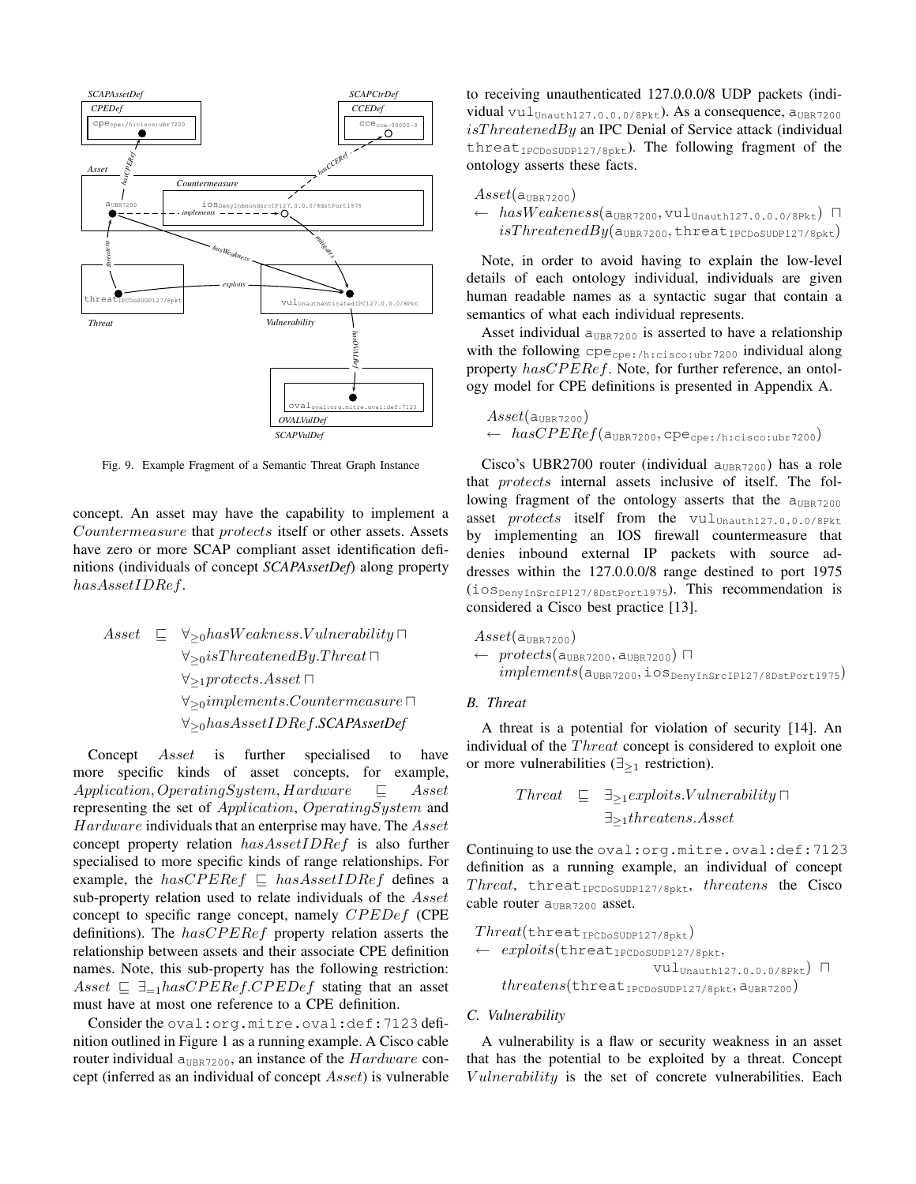

Fig. 9. Example Fragment of a Semantic Threat Graph Instance

concept. An asset may have the capability to implement a Countermeasure that protects itself or other assets. Assets have zero or more SCAP compliant asset identification definitions (individuals of concept *SCAPAssetDef*) along property hasAssetIDRef.

Asset 
$$
\sqsubseteq \forall_{\geq 0} has Weakness. Vulnerability \sqcap
$$

\n $\forall_{\geq 0} is ThreadBy. Thread \sqcap$ 

\n $\forall_{\geq 1} protects. Asset \sqcap$ 

\n $\forall_{\geq 0} implements. Countermeasure \sqcap$ 

\n $\forall_{\geq 0} has Asset IDEf.SCAP AssetDef$ 

Concept Asset is further specialised to have more specific kinds of asset concepts, for example, Application, OperatingSystem, Hardware ⊑ Asset representing the set of Application, OperatingSystem and Hardware individuals that an enterprise may have. The Asset concept property relation hasAssetIDRef is also further specialised to more specific kinds of range relationships. For example, the  $hasCPERef \subseteq hasAssetIDRef$  defines a sub-property relation used to relate individuals of the *Asset* concept to specific range concept, namely CPEDef (CPE definitions). The  $has CPERef$  property relation asserts the relationship between assets and their associate CPE definition names. Note, this sub-property has the following restriction: Asset  $\subseteq \exists_{=1}$ hasCPERef.CPEDef stating that an asset must have at most one reference to a CPE definition.

Consider the oval:org.mitre.oval:def:7123 definition outlined in Figure 1 as a running example. A Cisco cable router individual  $a_{UBR7200}$ , an instance of the  $Hardware$  concept (inferred as an individual of concept Asset) is vulnerable to receiving unauthenticated 127.0.0.0/8 UDP packets (individual  $\text{vul}_\text{Unauth127.0.0.0/8Pkt}$ . As a consequence,  $a_{\text{UBR7200}}$  $isThreadBy$  an IPC Denial of Service attack (individual  $three$ d $t_{\text{IPCDoSUDP127/8pkt}}$ . The following fragment of the ontology asserts these facts.

| $\textit{Asset}(\texttt{a}_{\texttt{UBR7200}})$ .                                                                          |
|----------------------------------------------------------------------------------------------------------------------------|
| $\leftarrow \ \textit{hasWeakeness}(\texttt{a}_{\texttt{UBR7200}}, \texttt{vul}_{\texttt{Unauth127.0.0.0/8Pkt}})$ $\sqcap$ |
| $isThreadBy(aUBR7200, threeatIPCDoSUDP127/8pkt)$                                                                           |

Note, in order to avoid having to explain the low-level details of each ontology individual, individuals are given human readable names as a syntactic sugar that contain a semantics of what each individual represents.

Asset individual  $a<sub>UBR7200</sub>$  is asserted to have a relationship with the following cpecpe:/h:cisco:ubr7200 individual along property hasCPERef. Note, for further reference, an ontology model for CPE definitions is presented in Appendix A.

 $A sset( a_{UBR7200})$  $\leftarrow \; \textit{hasCPERef}(\texttt{a}_{\texttt{UBR7200}}, \texttt{cpe}_{\texttt{cpe://h:cisco:ubr7200}})$ 

Cisco's UBR2700 router (individual  $a_{UBR7200}$ ) has a role that protects internal assets inclusive of itself. The following fragment of the ontology asserts that the  $a_{UBR7200}$ asset protects itself from the  $vul_{Unauth127.0.0.0/8Pkt}$ by implementing an IOS firewall countermeasure that denies inbound external IP packets with source addresses within the 127.0.0.0/8 range destined to port 1975 (iosDenyInSrcIP127/8DstPort1975). This recommendation is considered a Cisco best practice [13].

```
\text{A} sset(a_{UBR7200})
← protects(a<sub>UBR7200</sub>, a<sub>UBR7200</sub>) \Boximplements(a<sub>UBR7200</sub>,ios<sub>DenyInSrcIP127/8DstPort1975)
```
### *B. Threat*

A threat is a potential for violation of security [14]. An individual of the *Threat* concept is considered to exploit one or more vulnerabilities  $(\exists_{>1}$  restriction).

$$
\begin{array}{rcl}\n\text{Thread} & \sqsubseteq & \exists_{\geq 1} \text{exploits.} V \text{underability} \sqcap \\
 & \sqsubseteq_{\geq 1} \text{threads.} \text{ Asset}\n\end{array}
$$

Continuing to use the oval:org.mitre.oval:def:7123 definition as a running example, an individual of concept Threat, threat $_{\text{IPCDoSUDP127/8pkt}}$ , threatens the Cisco cable router a<sub>UBR7200</sub> asset.

$$
\begin{array}{ll} \textit{Thread}(\texttt{thread}_{\texttt{IPCDSUDP127/8pkt}}) \\ \leftarrow & \textit{exploits}(\texttt{thread}_{\texttt{IPCDSUDP127/8pkt}}, & \texttt{vul}_{\texttt{Unauth127.0.0.0/8Pkt}}) \; \sqcap \\ & & \texttt{threadens}(\texttt{thread}_{\texttt{IPCDSUDP127/8pkt}}, \texttt{a}_{\texttt{UBR7200}}) \end{array}
$$

#### *C. Vulnerability*

A vulnerability is a flaw or security weakness in an asset that has the potential to be exploited by a threat. Concept Vulnerability is the set of concrete vulnerabilities. Each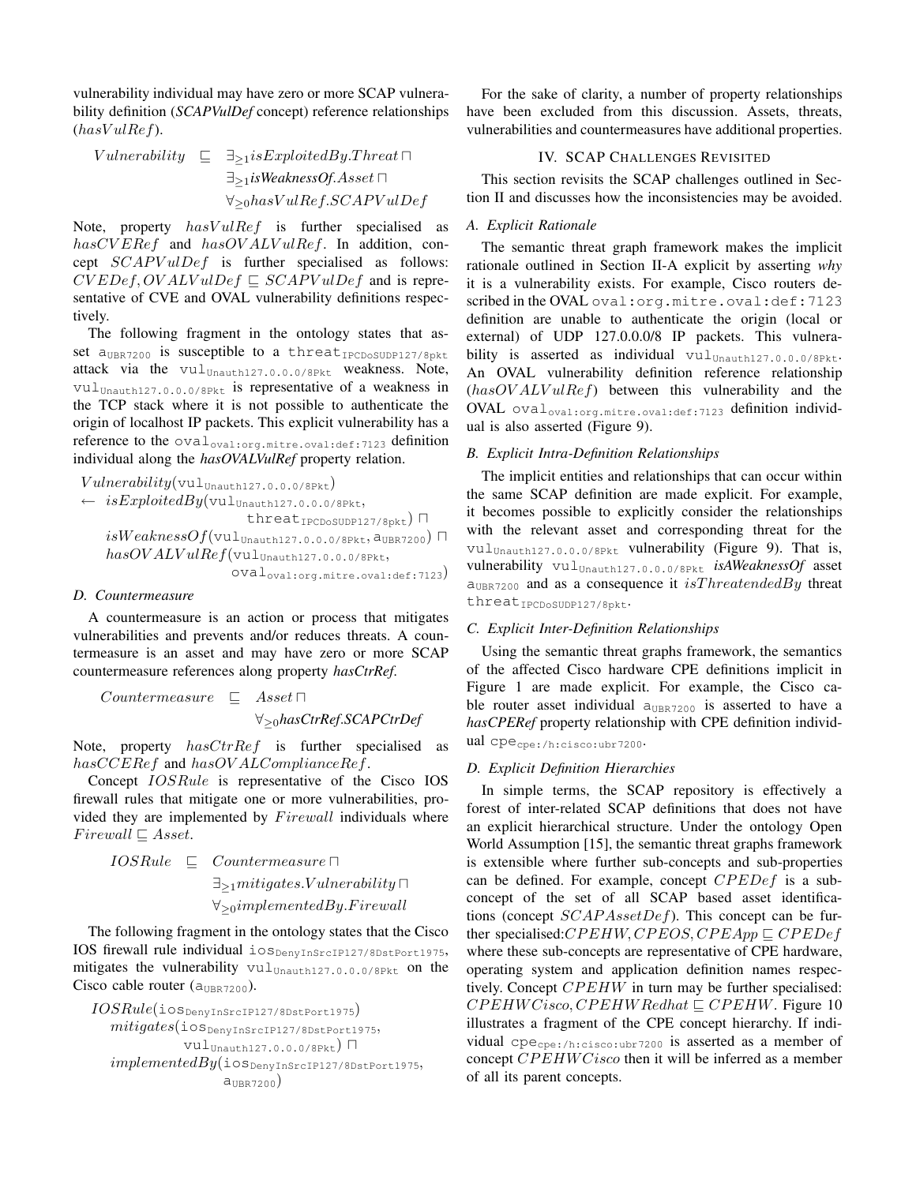vulnerability individual may have zero or more SCAP vulnerability definition (*SCAPVulDef* concept) reference relationships  $(hasVulRef).$ 

 $V \nulnerability \subseteq \exists_{>1} \n isExploitedBy. Thread □$ ∃≥1*isWeaknessOf*.Asset ⊓  $∀_{≥0}$ hasVulRef.SCAPVulDef

Note, property  $hasVulRef$  is further specialised as  $has CVERef$  and  $has OVALVulRef.$  In addition, concept  $SCAPVulDef$  is further specialised as follows:  $CVEDef, OVALV, uIDef \subseteq SCAPV, uIDef$  and is representative of CVE and OVAL vulnerability definitions respectively.

The following fragment in the ontology states that asset aUBR7200 is susceptible to a threatIPCDoSUDP127/8pkt attack via the vulunauth127.0.0.0/8Pkt weakness. Note, vulUnauth127.0.0.0/8Pkt is representative of a weakness in the TCP stack where it is not possible to authenticate the origin of localhost IP packets. This explicit vulnerability has a reference to the oval<sub>oval:org.mitre.oval:def:7123</sub> definition individual along the *hasOVALVulRef* property relation.

 $Vulnerability(\text{vul}_\text{Unauth127.0.0.0/8Pkt})$  $\leftarrow\ isExploitedBy(\texttt{vul}_{\texttt{Unauth127.0.0.0/8Pkt}},$ threat<sub>IPCDoSUDP127/8pkt</sub>) ∏  $isWeaknessOf(\verb|vul|_{\verb|Unauth127.0.0.0/8Pkt},\verb|a|_{\verb|UBR7200})$  $has OVALVulRef(\text{vul}_{\text{Unauth127.0.0.0/8Pkt}},$ ovaloval:org.mitre.oval:def:7123)

## *D. Countermeasure*

A countermeasure is an action or process that mitigates vulnerabilities and prevents and/or reduces threats. A countermeasure is an asset and may have zero or more SCAP countermeasure references along property *hasCtrRef*.

Countermeasure ⊑ Asset ⊓ ∀≥<sup>0</sup>*hasCtrRef*.*SCAPCtrDef*

Note, property  $hasCrRef$  is further specialised as hasCCERef and hasOV ALComplianceRef.

Concept IOSRule is representative of the Cisco IOS firewall rules that mitigate one or more vulnerabilities, provided they are implemented by Firewall individuals where  $Firewall \sqsubset Asset.$ 

IOSRule ⊑ Countermeasure ⊓ ∃≥1mitigates.V ulnerability ⊓ ∀≥0implementedBy.Firewall

The following fragment in the ontology states that the Cisco IOS firewall rule individual iosDenvInSrcIP127/8DstPort1975, mitigates the vulnerability  $\text{val}_{\text{Unauth127.0.0.0/8Pkt}}$  on the Cisco cable router  $(a_{UBR7200})$ .

```
IOSRule(ios_{DenyInSrcIP127/8DstPort1975})mitigates (ios_{\tt DenyInSrcIP127/8DstPort1975},vulUnauth127.0.0.0/8Pkt) ⊓
   implementedBy (ios_{DenyInSrcIP127/8DstPort1975},a<sub>UBR7200</sub>
```
For the sake of clarity, a number of property relationships have been excluded from this discussion. Assets, threats, vulnerabilities and countermeasures have additional properties.

## IV. SCAP CHALLENGES REVISITED

This section revisits the SCAP challenges outlined in Section II and discusses how the inconsistencies may be avoided.

## *A. Explicit Rationale*

The semantic threat graph framework makes the implicit rationale outlined in Section II-A explicit by asserting *why* it is a vulnerability exists. For example, Cisco routers described in the OVAL oval:org.mitre.oval:def:7123 definition are unable to authenticate the origin (local or external) of UDP 127.0.0.0/8 IP packets. This vulnerability is asserted as individual  $\text{vul}_{\text{Unauth127.0.0.0/8Pkt}}$ . An OVAL vulnerability definition reference relationship  $(hasOVALVulRef)$  between this vulnerability and the OVAL  $\text{oval}_{\text{oval:org.mitre.oval:def:7123}}$  definition individual is also asserted (Figure 9).

## *B. Explicit Intra-Definition Relationships*

The implicit entities and relationships that can occur within the same SCAP definition are made explicit. For example, it becomes possible to explicitly consider the relationships with the relevant asset and corresponding threat for the vul<sub>Unauth127.0.0.0/8Pkt</sub> vulnerability (Figure 9). That is, vulnerability vulUnauth127.0.0.0/8Pkt *isAWeaknessOf* asset  $a<sub>UBR7200</sub>$  and as a consequence it isThreatendedBy threat threat<sub>IPCDoSUDP127/8pkt</sub>.

## *C. Explicit Inter-Definition Relationships*

Using the semantic threat graphs framework, the semantics of the affected Cisco hardware CPE definitions implicit in Figure 1 are made explicit. For example, the Cisco cable router asset individual  $a_{UBR7200}$  is asserted to have a *hasCPERef* property relationship with CPE definition individual cpecpe:/h:cisco:ubr7200.

## *D. Explicit Definition Hierarchies*

In simple terms, the SCAP repository is effectively a forest of inter-related SCAP definitions that does not have an explicit hierarchical structure. Under the ontology Open World Assumption [15], the semantic threat graphs framework is extensible where further sub-concepts and sub-properties can be defined. For example, concept  $CPEDef$  is a subconcept of the set of all SCAP based asset identifications (concept  $SCAPAssetDef$ ). This concept can be further specialised: $CPEHW, CPEOS, CPEApp \sqsubseteq CPEDef$ where these sub-concepts are representative of CPE hardware, operating system and application definition names respectively. Concept  $CPEHW$  in turn may be further specialised:  $CPEHWCisco, CPEHWRedhat \,\subset CPEHW$ . Figure 10 illustrates a fragment of the CPE concept hierarchy. If individual  $cpe_{cpe:/h:cisco:ubr7200}$  is asserted as a member of concept CPEHWCisco then it will be inferred as a member of all its parent concepts.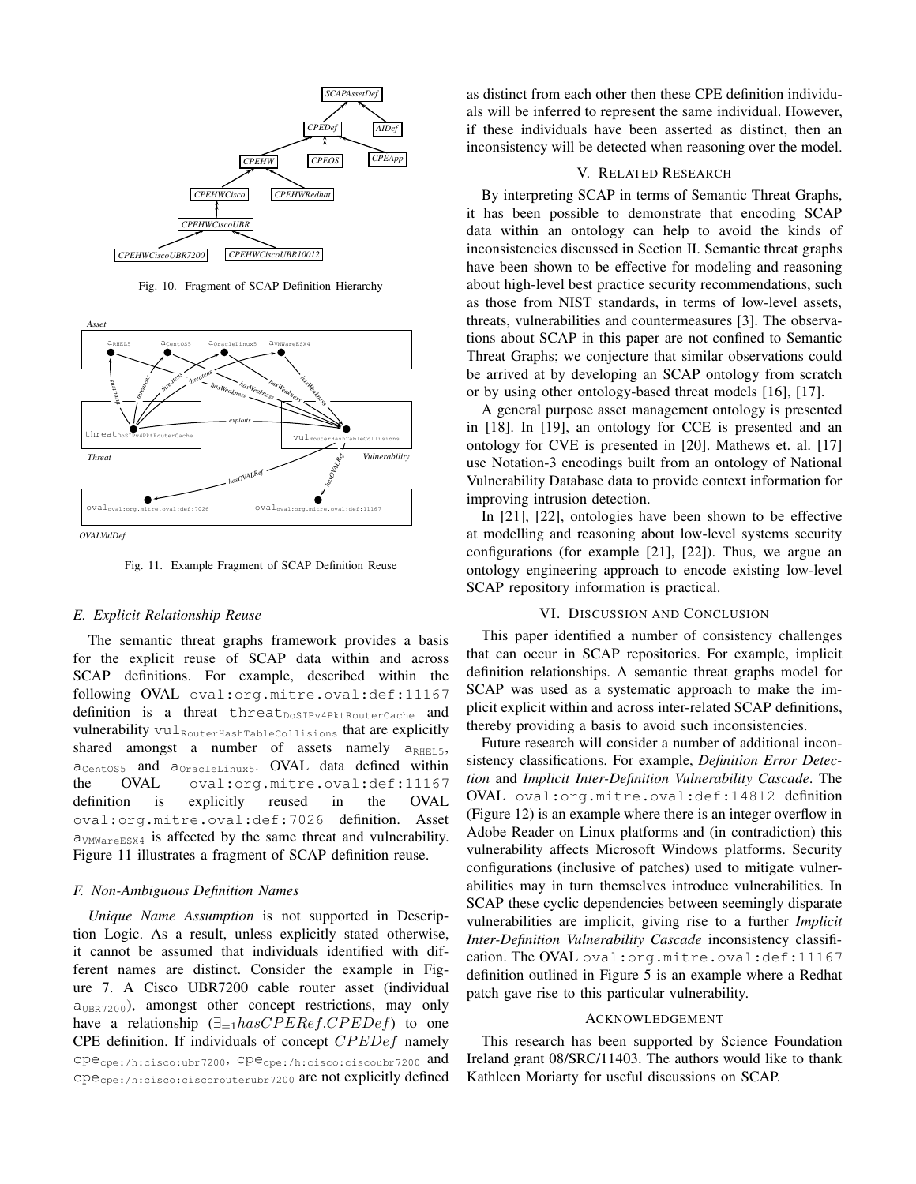

Fig. 10. Fragment of SCAP Definition Hierarchy





Fig. 11. Example Fragment of SCAP Definition Reuse

#### *E. Explicit Relationship Reuse*

The semantic threat graphs framework provides a basis for the explicit reuse of SCAP data within and across SCAP definitions. For example, described within the following OVAL oval:org.mitre.oval:def:11167 definition is a threat threat  $_{\text{DoSTPy4PktRouterCache}}$  and vulnerability vul<sub>RouterHashTableCollisions</sub> that are explicitly shared amongst a number of assets namely  $a_{RHEL,5}$ ,  $a_{CentOSS}$  and  $a_{OracleLinux5}$ . OVAL data defined within the OVAL oval:org.mitre.oval:def:11167 definition is explicitly reused in the OVAL oval:org.mitre.oval:def:7026 definition. Asset aVMWareESX4 is affected by the same threat and vulnerability. Figure 11 illustrates a fragment of SCAP definition reuse.

#### *F. Non-Ambiguous Definition Names*

*Unique Name Assumption* is not supported in Description Logic. As a result, unless explicitly stated otherwise, it cannot be assumed that individuals identified with different names are distinct. Consider the example in Figure 7. A Cisco UBR7200 cable router asset (individual  $a_{\text{IBR7200}}$ , amongst other concept restrictions, may only have a relationship  $(\exists_{=1} \text{has} CPERef.CPEDef)$  to one CPE definition. If individuals of concept CPEDef namely cpecpe:/h:cisco:ubr7200, cpecpe:/h:cisco:ciscoubr7200 and cpecpe:/h:cisco:ciscorouterubr7200 are not explicitly defined as distinct from each other then these CPE definition individuals will be inferred to represent the same individual. However, if these individuals have been asserted as distinct, then an inconsistency will be detected when reasoning over the model.

## V. RELATED RESEARCH

By interpreting SCAP in terms of Semantic Threat Graphs, it has been possible to demonstrate that encoding SCAP data within an ontology can help to avoid the kinds of inconsistencies discussed in Section II. Semantic threat graphs have been shown to be effective for modeling and reasoning about high-level best practice security recommendations, such as those from NIST standards, in terms of low-level assets, threats, vulnerabilities and countermeasures [3]. The observations about SCAP in this paper are not confined to Semantic Threat Graphs; we conjecture that similar observations could be arrived at by developing an SCAP ontology from scratch or by using other ontology-based threat models [16], [17].

A general purpose asset management ontology is presented in [18]. In [19], an ontology for CCE is presented and an ontology for CVE is presented in [20]. Mathews et. al. [17] use Notation-3 encodings built from an ontology of National Vulnerability Database data to provide context information for improving intrusion detection.

In [21], [22], ontologies have been shown to be effective at modelling and reasoning about low-level systems security configurations (for example [21], [22]). Thus, we argue an ontology engineering approach to encode existing low-level SCAP repository information is practical.

#### VI. DISCUSSION AND CONCLUSION

This paper identified a number of consistency challenges that can occur in SCAP repositories. For example, implicit definition relationships. A semantic threat graphs model for SCAP was used as a systematic approach to make the implicit explicit within and across inter-related SCAP definitions, thereby providing a basis to avoid such inconsistencies.

Future research will consider a number of additional inconsistency classifications. For example, *Definition Error Detection* and *Implicit Inter-Definition Vulnerability Cascade*. The OVAL oval:org.mitre.oval:def:14812 definition (Figure 12) is an example where there is an integer overflow in Adobe Reader on Linux platforms and (in contradiction) this vulnerability affects Microsoft Windows platforms. Security configurations (inclusive of patches) used to mitigate vulnerabilities may in turn themselves introduce vulnerabilities. In SCAP these cyclic dependencies between seemingly disparate vulnerabilities are implicit, giving rise to a further *Implicit Inter-Definition Vulnerability Cascade* inconsistency classification. The OVAL oval:org.mitre.oval:def:11167 definition outlined in Figure 5 is an example where a Redhat patch gave rise to this particular vulnerability.

#### ACKNOWLEDGEMENT

This research has been supported by Science Foundation Ireland grant 08/SRC/11403. The authors would like to thank Kathleen Moriarty for useful discussions on SCAP.